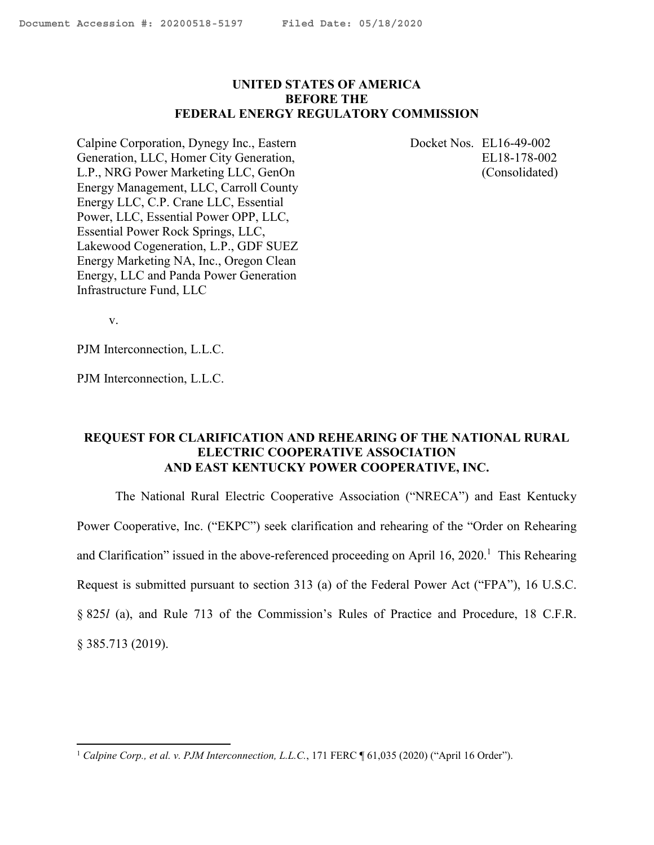# <span id="page-0-0"></span>**UNITED STATES OF AMERICA BEFORE THE FEDERAL ENERGY REGULATORY COMMISSION**

Calpine Corporation, Dynegy Inc., Eastern Generation, LLC, Homer City Generation, L.P., NRG Power Marketing LLC, GenOn Energy Management, LLC, Carroll County Energy LLC, C.P. Crane LLC, Essential Power, LLC, Essential Power OPP, LLC, Essential Power Rock Springs, LLC, Lakewood Cogeneration, L.P., GDF SUEZ Energy Marketing NA, Inc., Oregon Clean Energy, LLC and Panda Power Generation Infrastructure Fund, LLC

Docket Nos. EL16-49-002 EL18-178-002 (Consolidated)

v.

PJM Interconnection, L.L.C.

PJM Interconnection, L.L.C.

# **REQUEST FOR CLARIFICATION AND REHEARING OF THE NATIONAL RURAL ELECTRIC COOPERATIVE ASSOCIATION AND EAST KENTUCKY POWER COOPERATIVE, INC.**

The National Rural Electric Cooperative Association ("NRECA") and East Kentucky Power Cooperative, Inc. ("EKPC") seek clarification and rehearing of the "Order on Rehearing and Clarification" issued in the above-referenced proceeding on April  $16, 2020$ .<sup>1</sup> This Rehearing Request is submitted pursuant to section 313 (a) of the Federal Power Act ("FPA"), 16 U.S.C. § 825*l* (a), and Rule 713 of the Commission's Rules of Practice and Procedure, 18 C.F.R.

§ 385.713 (2019).

<sup>&</sup>lt;sup>1</sup> Calpine Corp., et al. v. PJM Interconnection, L.L.C., 171 FERC ¶ 61,035 (2020) ("April 16 Order").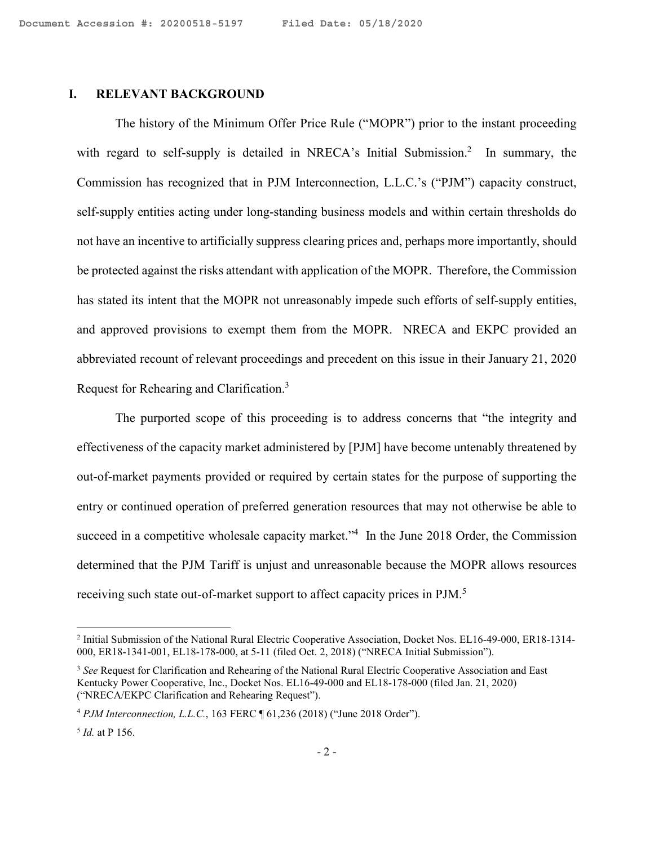# **I. RELEVANT BACKGROUND**

The history of the Minimum Offer Price Rule ("MOPR") prior to the instant proceeding with regard to self-supply is detailed in NRECA's Initial Submission.<sup>2</sup> In summary, the Commission has recognized that in PJM Interconnection, L.L.C.'s ("PJM") capacity construct, self-supply entities acting under long-standing business models and within certain thresholds do not have an incentive to artificially suppress clearing prices and, perhaps more importantly, should be protected against the risks attendant with application of the MOPR. Therefore, the Commission has stated its intent that the MOPR not unreasonably impede such efforts of self-supply entities, and approved provisions to exempt them from the MOPR. NRECA and EKPC provided an abbreviated recount of relevant proceedings and precedent on this issue in their January 21, 2020 Request for Rehearing and Clarification.<sup>3</sup>

The purported scope of this proceeding is to address concerns that "the integrity and effectiveness of the capacity market administered by [PJM] have become untenably threatened by out-of-market payments provided or required by certain states for the purpose of supporting the entry or continued operation of preferred generation resources that may not otherwise be able to succeed in a competitive wholesale capacity market."<sup>4</sup> In the June 2018 Order, the Commission determined that the PJM Tariff is unjust and unreasonable because the MOPR allows resources receiving such state out-of-market support to affect capacity prices in PJM.<sup>5</sup>

<sup>&</sup>lt;sup>2</sup> Initial Submission of the National Rural Electric Cooperative Association, Docket Nos. EL16-49-000, ER18-1314-000, ER18-1341-001, EL18-178-000, at 5-11 (filed Oct. 2, 2018) ("NRECA Initial Submission").

<sup>3</sup> *See* Request for Clarification and Rehearing of the National Rural Electric Cooperative Association and East Kentucky Power Cooperative, Inc., Docket Nos. EL16-49-000 and EL18-178-000 (filed Jan. 21, 2020) ("NRECA/EKPC Clarification and Rehearing Request").

<sup>4</sup> *PJM Interconnection, L.L.C.*, 163 FERC ¶ 61,236 (2018) ("June 2018 Order").

<sup>5</sup> *Id.* at P 156.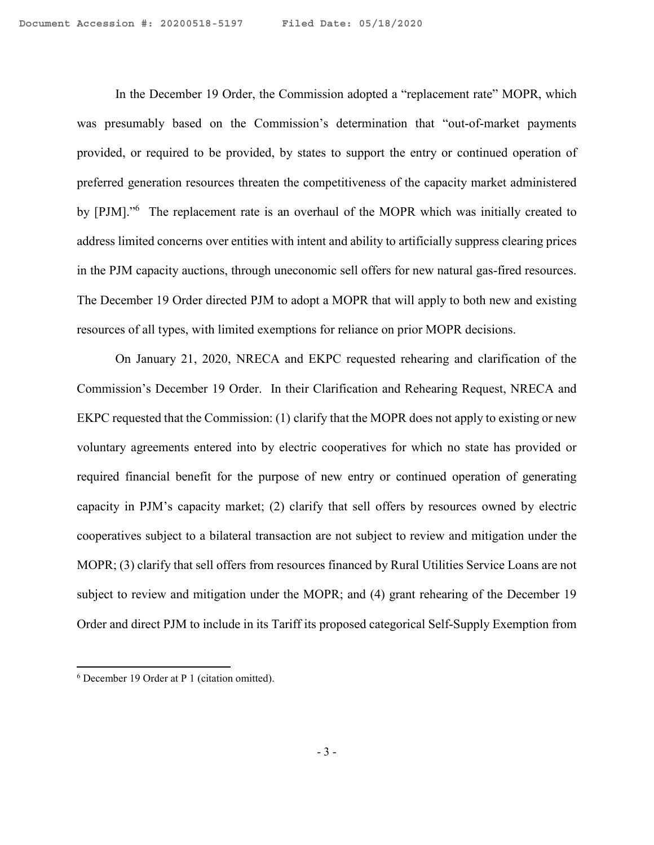In the December 19 Order, the Commission adopted a "replacement rate" MOPR, which was presumably based on the Commission's determination that "out-of-market payments provided, or required to be provided, by states to support the entry or continued operation of preferred generation resources threaten the competitiveness of the capacity market administered by [PJM]."<sup>6</sup> The replacement rate is an overhaul of the MOPR which was initially created to address limited concerns over entities with intent and ability to artificially suppress clearing prices in the PJM capacity auctions, through uneconomic sell offers for new natural gas-fired resources. The December 19 Order directed PJM to adopt a MOPR that will apply to both new and existing resources of all types, with limited exemptions for reliance on prior MOPR decisions.

On January 21, 2020, NRECA and EKPC requested rehearing and clarification of the Commission's December 19 Order. In their Clarification and Rehearing Request, NRECA and EKPC requested that the Commission: (1) clarify that the MOPR does not apply to existing or new voluntary agreements entered into by electric cooperatives for which no state has provided or required financial benefit for the purpose of new entry or continued operation of generating capacity in PJM's capacity market; (2) clarify that sell offers by resources owned by electric cooperatives subject to a bilateral transaction are not subject to review and mitigation under the MOPR; (3) clarify that sell offers from resources financed by Rural Utilities Service Loans are not subject to review and mitigation under the MOPR; and (4) grant rehearing of the December 19 Order and direct PJM to include in its Tariff its proposed categorical Self-Supply Exemption from

<sup>6</sup> December 19 Order at P 1 (citation omitted).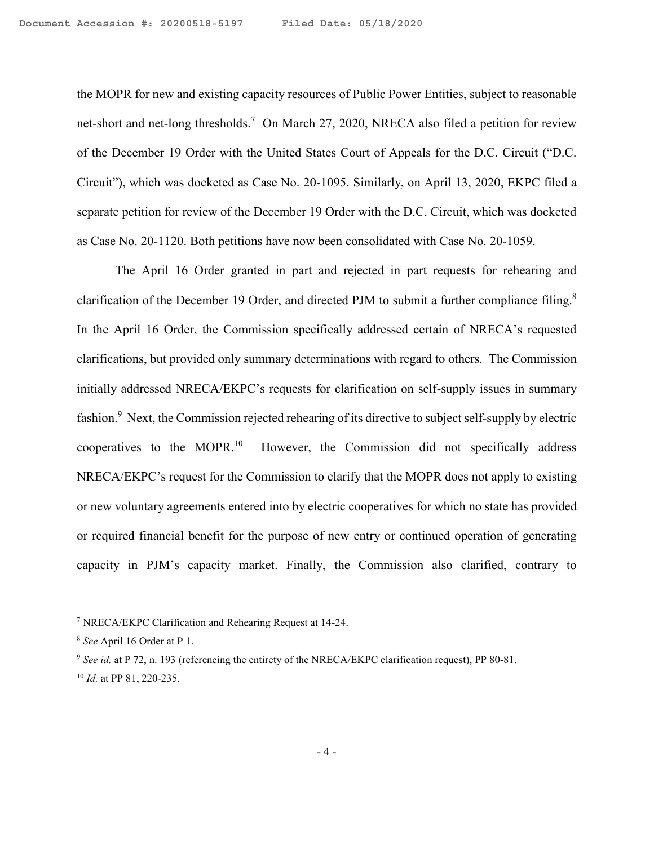the MOPR for new and existing capacity resources of Public Power Entities, subject to reasonable net-short and net-long thresholds.<sup>7</sup> On March 27, 2020, NRECA also filed a petition for review of the December 19 Order with the United States Court of Appeals for the D.C. Circuit ("D.C. Circuit"), which was docketed as Case No. 20-1095. Similarly, on April 13, 2020, EKPC filed a separate petition for review of the December 19 Order with the D.C. Circuit, which was docketed as Case No. 20-1120. Both petitions have now been consolidated with Case No. 20-1059.

The April 16 Order granted in part and rejected in part requests for rehearing and clarification of the December 19 Order, and directed PJM to submit a further compliance filing.<sup>8</sup> In the April 16 Order, the Commission specifically addressed certain of NRECA's requested clarifications, but provided only summary determinations with regard to others. The Commission initially addressed NRECA/EKPC's requests for clarification on self-supply issues in summary fashion.<sup>9</sup> Next, the Commission rejected rehearing of its directive to subject self-supply by electric cooperatives to the MOPR.<sup>10</sup> However, the Commission did not specifically address NRECA/EKPC's request for the Commission to clarify that the MOPR does not apply to existing or new voluntary agreements entered into by electric cooperatives for which no state has provided or required financial benefit for the purpose of new entry or continued operation of generating capacity in PJM's capacity market. Finally, the Commission also clarified, contrary to

<sup>7</sup> NRECA/EKPC Clarification and Rehearing Request at 14-24.

<sup>8</sup> *See* April 16 Order at P 1.

<sup>9</sup> *See id.* at P 72, n. 193 (referencing the entirety of the NRECA/EKPC clarification request), PP 80-81. <sup>10</sup> *Id.* at PP 81, 220-235.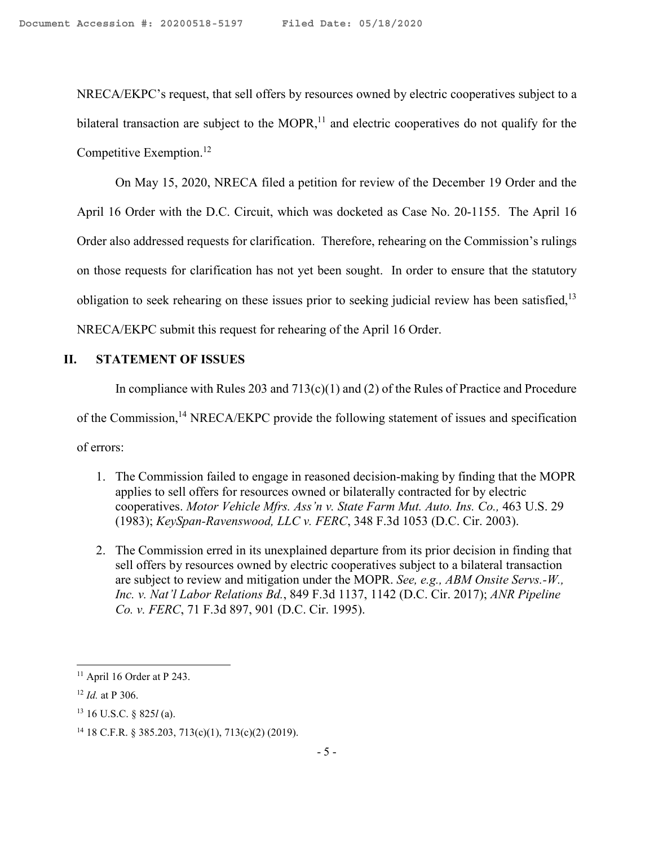NRECA/EKPC's request, that sell offers by resources owned by electric cooperatives subject to a bilateral transaction are subject to the MOPR, $<sup>11</sup>$  and electric cooperatives do not qualify for the</sup> Competitive Exemption.<sup>12</sup>

On May 15, 2020, NRECA filed a petition for review of the December 19 Order and the April 16 Order with the D.C. Circuit, which was docketed as Case No. 20-1155. The April 16 Order also addressed requests for clarification. Therefore, rehearing on the Commission's rulings on those requests for clarification has not yet been sought. In order to ensure that the statutory obligation to seek rehearing on these issues prior to seeking judicial review has been satisfied.<sup>13</sup> NRECA/EKPC submit this request for rehearing of the April 16 Order.

# **II. STATEMENT OF ISSUES**

In compliance with Rules 203 and  $713(c)(1)$  and (2) of the Rules of Practice and Procedure of the Commission,<sup>14</sup> NRECA/EKPC provide the following statement of issues and specification of errors:

- 1. The Commission failed to engage in reasoned decision-making by finding that the MOPR applies to sell offers for resources owned or bilaterally contracted for by electric cooperatives. *Motor Vehicle Mfrs. Ass'n v. State Farm Mut. Auto. Ins. Co.*, 463 U.S. 29 (1983); *KeySpan-Ravenswood, LLC v. FERC*, 348 F.3d 1053 (D.C. Cir. 2003).
- 2. The Commission erred in its unexplained departure from its prior decision in finding that sell offers by resources owned by electric cooperatives subject to a bilateral transaction are subject to review and mitigation under the MOPR. *See, e.g., ABM Onsite Servs.-W., Inc. v. Nat'l Labor Relations Bd.*, 849 F.3d 1137, 1142 (D.C. Cir. 2017); *ANR Pipeline Co. v. FERC*, 71 F.3d 897, 901 (D.C. Cir. 1995).

 $11$  April 16 Order at P 243.

<sup>12</sup> *Id.* at P 306.

<sup>13</sup> 16 U.S.C. § 825*l* (a).

<sup>&</sup>lt;sup>14</sup> 18 C.F.R. § 385.203, 713(c)(1), 713(c)(2) (2019).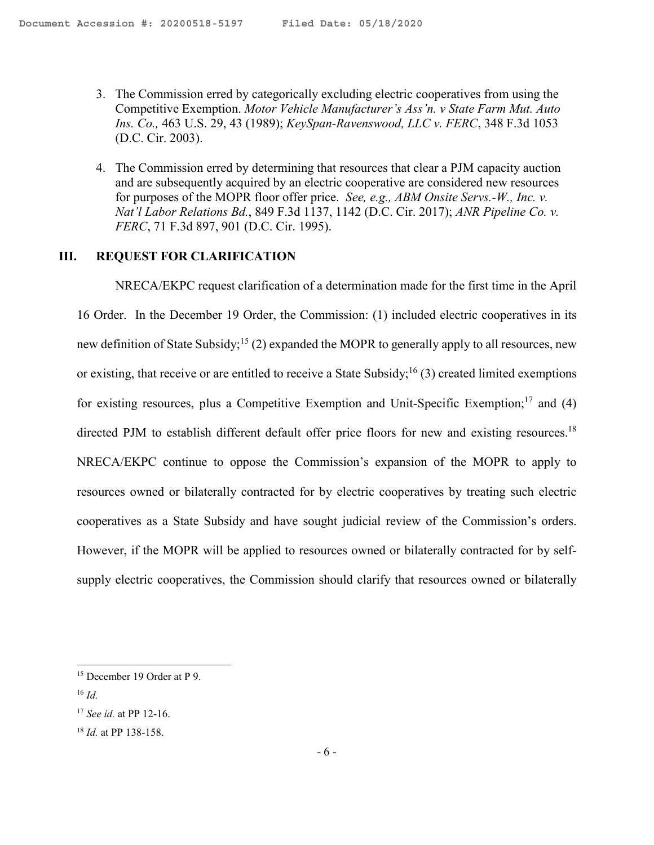- 3. The Commission erred by categorically excluding electric cooperatives from using the Competitive Exemption. *Motor Vehicle Manufacturer's Ass'n. v State Farm Mut. Auto Ins. Co.,* 463 U.S. 29, 43 (1989); *KeySpan-Ravenswood, LLC v. FERC*, 348 F.3d 1053 (D.C. Cir. 2003).
- 4. The Commission erred by determining that resources that clear a PJM capacity auction and are subsequently acquired by an electric cooperative are considered new resources for purposes of the MOPR floor offer price. *See, e.g., ABM Onsite Servs.-W., Inc. v. Nat'l Labor Relations Bd.*, 849 F.3d 1137, 1142 (D.C. Cir. 2017); *ANR Pipeline Co. v. FERC*, 71 F.3d 897, 901 (D.C. Cir. 1995).

### **III. REQUEST FOR CLARIFICATION**

NRECA/EKPC request clarification of a determination made for the first time in the April 16 Order. In the December 19 Order, the Commission: (1) included electric cooperatives in its new definition of State Subsidy;<sup>15</sup> (2) expanded the MOPR to generally apply to all resources, new or existing, that receive or are entitled to receive a State Subsidy;<sup>16</sup> (3) created limited exemptions for existing resources, plus a Competitive Exemption and Unit-Specific Exemption;<sup>17</sup> and (4) directed PJM to establish different default offer price floors for new and existing resources.<sup>18</sup> NRECA/EKPC continue to oppose the Commission's expansion of the MOPR to apply to resources owned or bilaterally contracted for by electric cooperatives by treating such electric cooperatives as a State Subsidy and have sought judicial review of the Commission's orders. However, if the MOPR will be applied to resources owned or bilaterally contracted for by selfsupply electric cooperatives, the Commission should clarify that resources owned or bilaterally

<sup>15</sup> December 19 Order at P 9.

<sup>16</sup> *Id.* 

<sup>17</sup> *See id.* at PP 12-16.

<sup>18</sup> *Id.* at PP 138-158.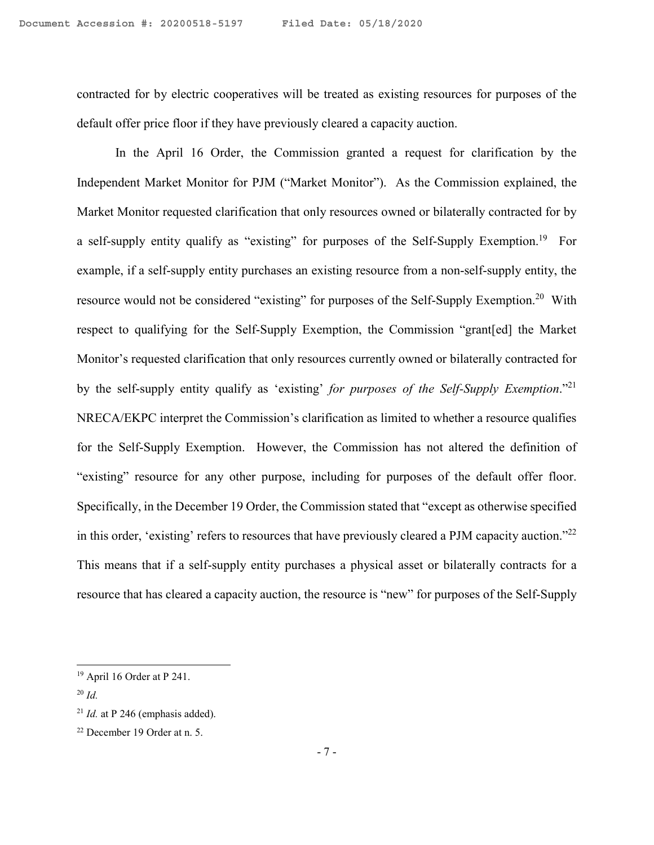contracted for by electric cooperatives will be treated as existing resources for purposes of the default offer price floor if they have previously cleared a capacity auction.

In the April 16 Order, the Commission granted a request for clarification by the Independent Market Monitor for PJM ("Market Monitor"). As the Commission explained, the Market Monitor requested clarification that only resources owned or bilaterally contracted for by a self-supply entity qualify as "existing" for purposes of the Self-Supply Exemption.<sup>19</sup> For example, if a self-supply entity purchases an existing resource from a non-self-supply entity, the resource would not be considered "existing" for purposes of the Self-Supply Exemption.<sup>20</sup> With respect to qualifying for the Self-Supply Exemption, the Commission "grant[ed] the Market Monitor's requested clarification that only resources currently owned or bilaterally contracted for by the self-supply entity qualify as 'existing' *for purposes of the Self-Supply Exemption*."<sup>21</sup> NRECA/EKPC interpret the Commission's clarification as limited to whether a resource qualifies for the Self-Supply Exemption. However, the Commission has not altered the definition of "existing" resource for any other purpose, including for purposes of the default offer floor. Specifically, in the December 19 Order, the Commission stated that "except as otherwise specified in this order, 'existing' refers to resources that have previously cleared a PJM capacity auction."<sup>22</sup> This means that if a self-supply entity purchases a physical asset or bilaterally contracts for a resource that has cleared a capacity auction, the resource is "new" for purposes of the Self-Supply

<sup>19</sup> April 16 Order at P 241.

<sup>20</sup> *Id.* 

 $21$  *Id.* at P 246 (emphasis added).

<sup>22</sup> December 19 Order at n. 5.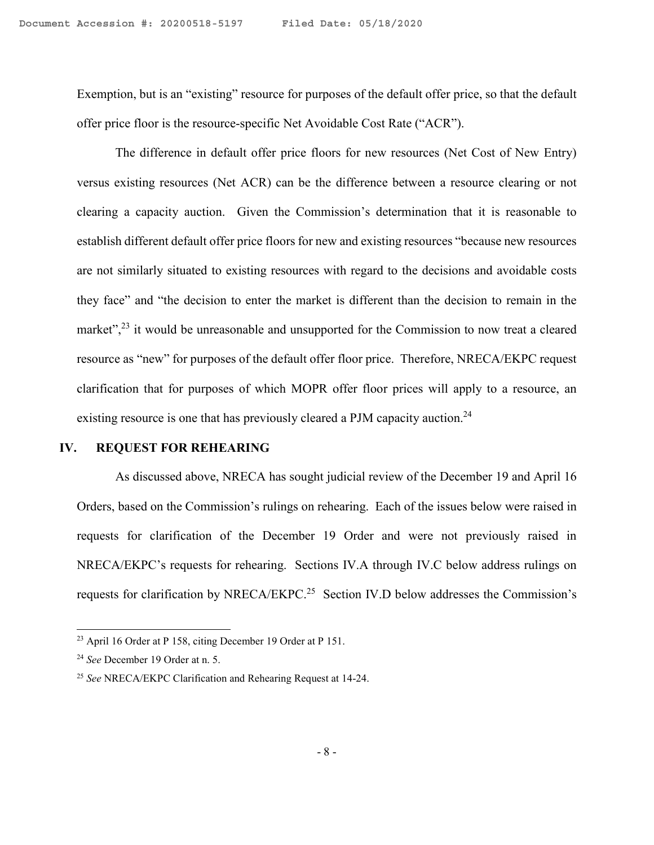Exemption, but is an "existing" resource for purposes of the default offer price, so that the default offer price floor is the resource-specific Net Avoidable Cost Rate ("ACR").

The difference in default offer price floors for new resources (Net Cost of New Entry) versus existing resources (Net ACR) can be the difference between a resource clearing or not clearing a capacity auction. Given the Commission's determination that it is reasonable to establish different default offer price floors for new and existing resources "because new resources are not similarly situated to existing resources with regard to the decisions and avoidable costs they face" and "the decision to enter the market is different than the decision to remain in the market",<sup>23</sup> it would be unreasonable and unsupported for the Commission to now treat a cleared resource as "new" for purposes of the default offer floor price. Therefore, NRECA/EKPC request clarification that for purposes of which MOPR offer floor prices will apply to a resource, an existing resource is one that has previously cleared a PJM capacity auction.<sup>24</sup>

# **IV. REQUEST FOR REHEARING**

As discussed above, NRECA has sought judicial review of the December 19 and April 16 Orders, based on the Commission's rulings on rehearing. Each of the issues below were raised in requests for clarification of the December 19 Order and were not previously raised in NRECA/EKPC's requests for rehearing. Sections IV.A through IV.C below address rulings on requests for clarification by NRECA/EKPC.<sup>25</sup> Section IV.D below addresses the Commission's

<sup>&</sup>lt;sup>23</sup> April 16 Order at P 158, citing December 19 Order at P 151.

<sup>24</sup> *See* December 19 Order at n. 5.

<sup>25</sup> *See* NRECA/EKPC Clarification and Rehearing Request at 14-24.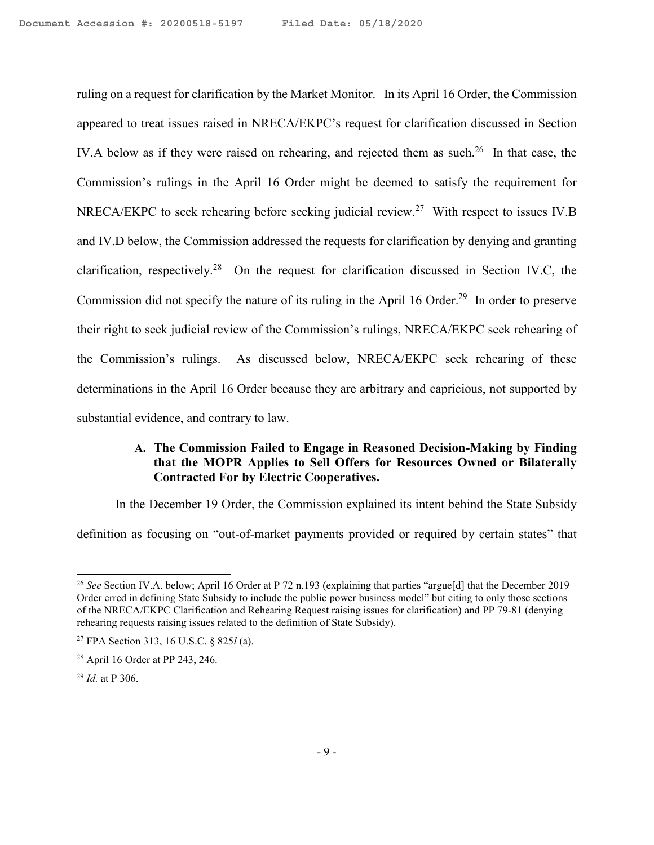ruling on a request for clarification by the Market Monitor. In its April 16 Order, the Commission appeared to treat issues raised in NRECA/EKPC's request for clarification discussed in Section IV.A below as if they were raised on rehearing, and rejected them as such.<sup>26</sup> In that case, the Commission's rulings in the April 16 Order might be deemed to satisfy the requirement for NRECA/EKPC to seek rehearing before seeking judicial review.<sup>27</sup> With respect to issues IV.B and IV.D below, the Commission addressed the requests for clarification by denying and granting clarification, respectively.<sup>28</sup> On the request for clarification discussed in Section IV.C, the Commission did not specify the nature of its ruling in the April 16 Order.<sup>29</sup> In order to preserve their right to seek judicial review of the Commission's rulings, NRECA/EKPC seek rehearing of the Commission's rulings. As discussed below, NRECA/EKPC seek rehearing of these determinations in the April 16 Order because they are arbitrary and capricious, not supported by substantial evidence, and contrary to law.

# **A. The Commission Failed to Engage in Reasoned Decision-Making by Finding that the MOPR Applies to Sell Offers for Resources Owned or Bilaterally Contracted For by Electric Cooperatives.**

In the December 19 Order, the Commission explained its intent behind the State Subsidy definition as focusing on "out-of-market payments provided or required by certain states" that

<sup>26</sup> *See* Section IV.A. below; April 16 Order at P 72 n.193 (explaining that parties "argue[d] that the December 2019 Order erred in defining State Subsidy to include the public power business model" but citing to only those sections of the NRECA/EKPC Clarification and Rehearing Request raising issues for clarification) and PP 79-81 (denying rehearing requests raising issues related to the definition of State Subsidy).

<sup>27</sup> FPA Section 313, 16 U.S.C. § 825*l* (a).

<sup>28</sup> April 16 Order at PP 243, 246.

<sup>29</sup> *Id.* at P 306.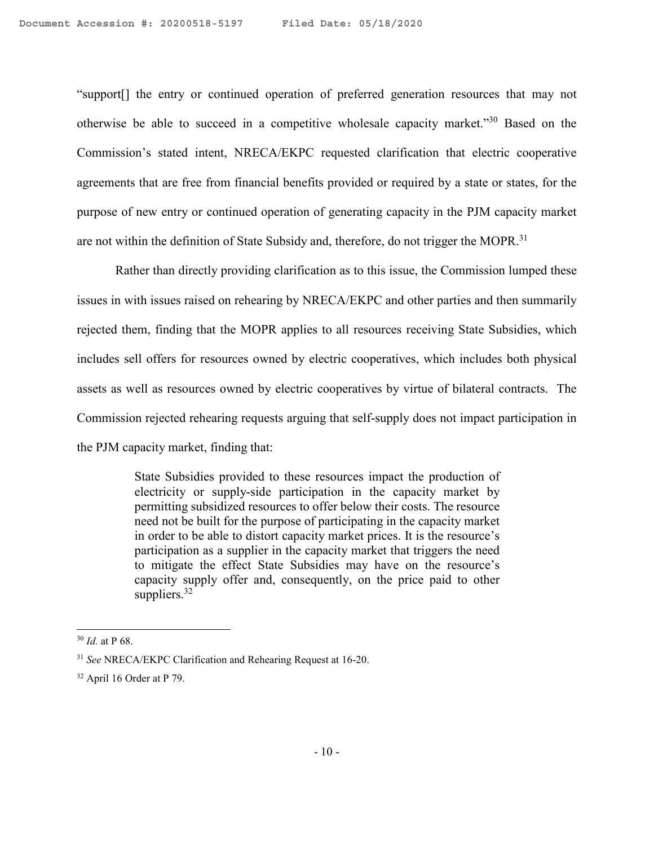"support[] the entry or continued operation of preferred generation resources that may not otherwise be able to succeed in a competitive wholesale capacity market."<sup>30</sup> Based on the Commission's stated intent, NRECA/EKPC requested clarification that electric cooperative agreements that are free from financial benefits provided or required by a state or states, for the purpose of new entry or continued operation of generating capacity in the PJM capacity market are not within the definition of State Subsidy and, therefore, do not trigger the MOPR.<sup>31</sup>

Rather than directly providing clarification as to this issue, the Commission lumped these issues in with issues raised on rehearing by NRECA/EKPC and other parties and then summarily rejected them, finding that the MOPR applies to all resources receiving State Subsidies, which includes sell offers for resources owned by electric cooperatives, which includes both physical assets as well as resources owned by electric cooperatives by virtue of bilateral contracts. The Commission rejected rehearing requests arguing that self-supply does not impact participation in the PJM capacity market, finding that:

> State Subsidies provided to these resources impact the production of electricity or supply-side participation in the capacity market by permitting subsidized resources to offer below their costs. The resource need not be built for the purpose of participating in the capacity market in order to be able to distort capacity market prices. It is the resource's participation as a supplier in the capacity market that triggers the need to mitigate the effect State Subsidies may have on the resource's capacity supply offer and, consequently, on the price paid to other suppliers. $32$

<sup>30</sup> *Id.* at P 68.

<sup>31</sup> *See* NRECA/EKPC Clarification and Rehearing Request at 16-20.

 $32$  April 16 Order at P 79.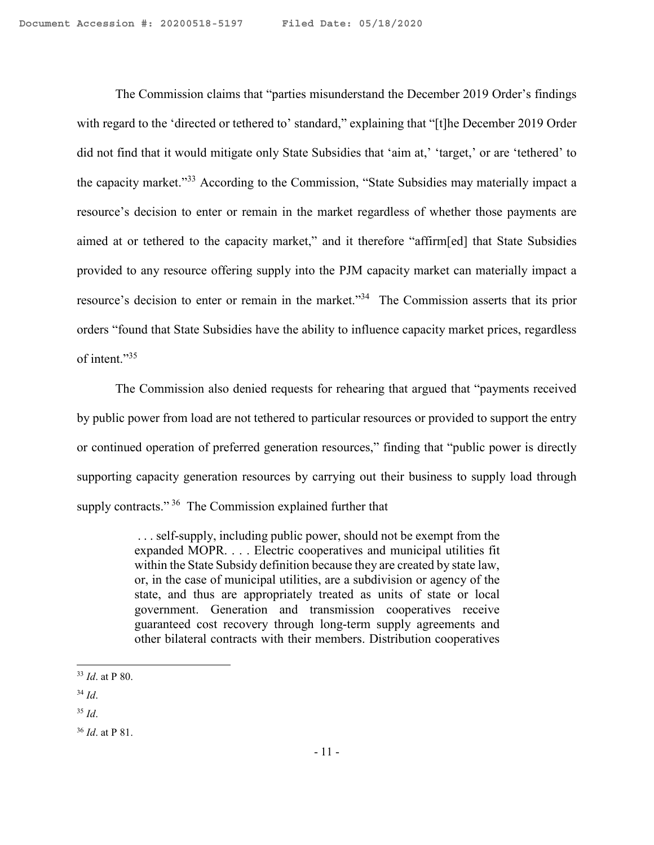The Commission claims that "parties misunderstand the December 2019 Order's findings with regard to the 'directed or tethered to' standard," explaining that "[t]he December 2019 Order did not find that it would mitigate only State Subsidies that 'aim at,' 'target,' or are 'tethered' to the capacity market."<sup>33</sup> According to the Commission, "State Subsidies may materially impact a resource's decision to enter or remain in the market regardless of whether those payments are aimed at or tethered to the capacity market," and it therefore "affirm[ed] that State Subsidies provided to any resource offering supply into the PJM capacity market can materially impact a resource's decision to enter or remain in the market."<sup>34</sup> The Commission asserts that its prior orders "found that State Subsidies have the ability to influence capacity market prices, regardless of intent."<sup>35</sup>

The Commission also denied requests for rehearing that argued that "payments received by public power from load are not tethered to particular resources or provided to support the entry or continued operation of preferred generation resources," finding that "public power is directly supporting capacity generation resources by carrying out their business to supply load through supply contracts."<sup>36</sup> The Commission explained further that

> . . . self-supply, including public power, should not be exempt from the expanded MOPR. . . . Electric cooperatives and municipal utilities fit within the State Subsidy definition because they are created by state law, or, in the case of municipal utilities, are a subdivision or agency of the state, and thus are appropriately treated as units of state or local government. Generation and transmission cooperatives receive guaranteed cost recovery through long-term supply agreements and other bilateral contracts with their members. Distribution cooperatives

<sup>33</sup> *Id*. at P 80.

<sup>34</sup> *Id*.

<sup>35</sup> *Id*.

<sup>36</sup> *Id*. at P 81.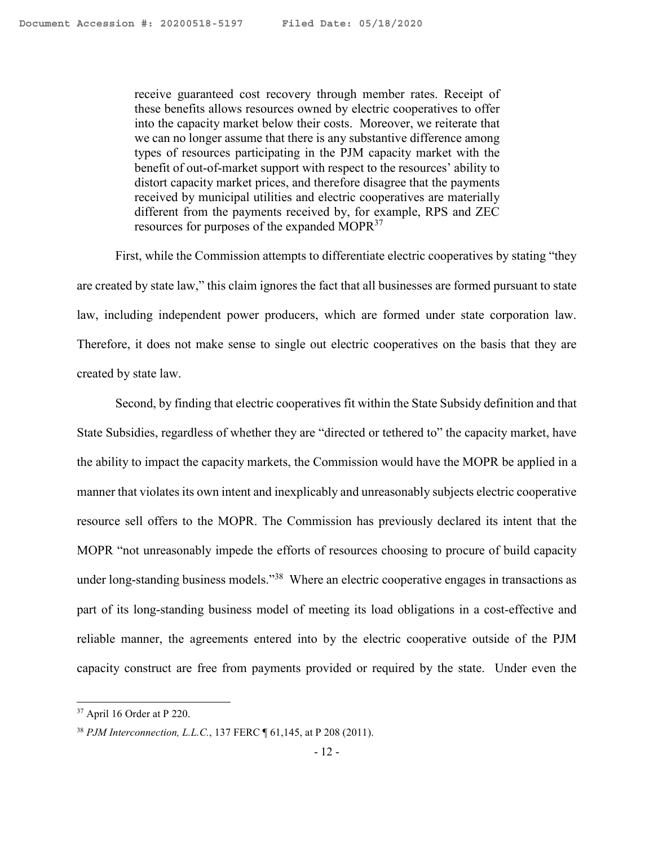receive guaranteed cost recovery through member rates. Receipt of these benefits allows resources owned by electric cooperatives to offer into the capacity market below their costs. Moreover, we reiterate that we can no longer assume that there is any substantive difference among types of resources participating in the PJM capacity market with the benefit of out-of-market support with respect to the resources' ability to distort capacity market prices, and therefore disagree that the payments received by municipal utilities and electric cooperatives are materially different from the payments received by, for example, RPS and ZEC resources for purposes of the expanded MOPR<sup>37</sup>

First, while the Commission attempts to differentiate electric cooperatives by stating "they are created by state law," this claim ignores the fact that all businesses are formed pursuant to state law, including independent power producers, which are formed under state corporation law. Therefore, it does not make sense to single out electric cooperatives on the basis that they are created by state law.

Second, by finding that electric cooperatives fit within the State Subsidy definition and that State Subsidies, regardless of whether they are "directed or tethered to" the capacity market, have the ability to impact the capacity markets, the Commission would have the MOPR be applied in a manner that violates its own intent and inexplicably and unreasonably subjects electric cooperative resource sell offers to the MOPR. The Commission has previously declared its intent that the MOPR "not unreasonably impede the efforts of resources choosing to procure of build capacity under long-standing business models."<sup>38</sup> Where an electric cooperative engages in transactions as part of its long-standing business model of meeting its load obligations in a cost-effective and reliable manner, the agreements entered into by the electric cooperative outside of the PJM capacity construct are free from payments provided or required by the state. Under even the

<sup>37</sup> April 16 Order at P 220.

<sup>38</sup> *PJM Interconnection, L.L.C.*, 137 FERC ¶ 61,145, at P 208 (2011).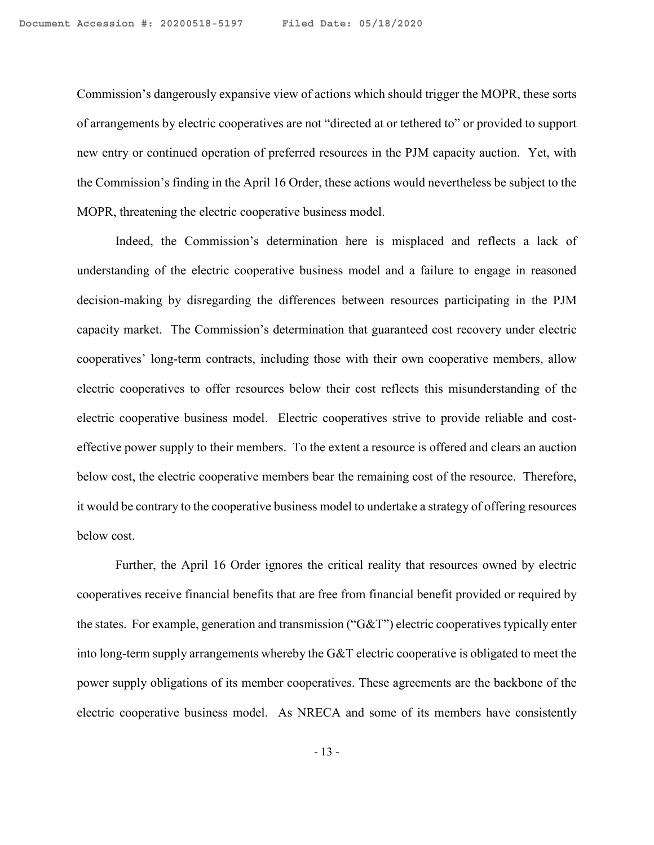Commission's dangerously expansive view of actions which should trigger the MOPR, these sorts of arrangements by electric cooperatives are not "directed at or tethered to" or provided to support new entry or continued operation of preferred resources in the PJM capacity auction. Yet, with the Commission's finding in the April 16 Order, these actions would nevertheless be subject to the MOPR, threatening the electric cooperative business model.

Indeed, the Commission's determination here is misplaced and reflects a lack of understanding of the electric cooperative business model and a failure to engage in reasoned decision-making by disregarding the differences between resources participating in the PJM capacity market. The Commission's determination that guaranteed cost recovery under electric cooperatives' long-term contracts, including those with their own cooperative members, allow electric cooperatives to offer resources below their cost reflects this misunderstanding of the electric cooperative business model. Electric cooperatives strive to provide reliable and costeffective power supply to their members. To the extent a resource is offered and clears an auction below cost, the electric cooperative members bear the remaining cost of the resource. Therefore, it would be contrary to the cooperative business model to undertake a strategy of offering resources below cost.

Further, the April 16 Order ignores the critical reality that resources owned by electric cooperatives receive financial benefits that are free from financial benefit provided or required by the states. For example, generation and transmission ("G&T") electric cooperatives typically enter into long-term supply arrangements whereby the G&T electric cooperative is obligated to meet the power supply obligations of its member cooperatives. These agreements are the backbone of the electric cooperative business model. As NRECA and some of its members have consistently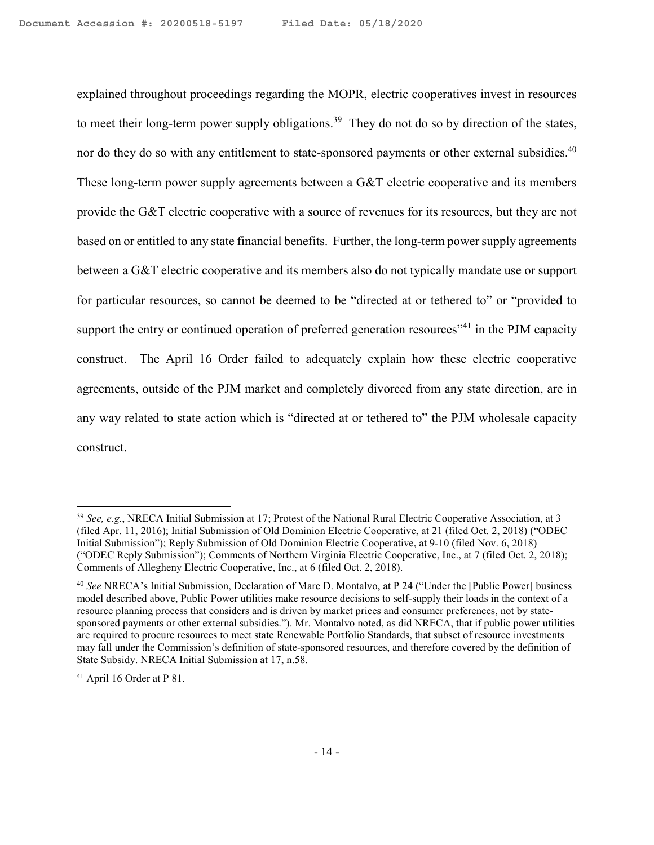explained throughout proceedings regarding the MOPR, electric cooperatives invest in resources to meet their long-term power supply obligations.<sup>39</sup> They do not do so by direction of the states, nor do they do so with any entitlement to state-sponsored payments or other external subsidies.<sup>40</sup> These long-term power supply agreements between a G&T electric cooperative and its members provide the G&T electric cooperative with a source of revenues for its resources, but they are not based on or entitled to any state financial benefits. Further, the long-term power supply agreements between a G&T electric cooperative and its members also do not typically mandate use or support for particular resources, so cannot be deemed to be "directed at or tethered to" or "provided to support the entry or continued operation of preferred generation resources<sup>"41</sup> in the PJM capacity construct. The April 16 Order failed to adequately explain how these electric cooperative agreements, outside of the PJM market and completely divorced from any state direction, are in any way related to state action which is "directed at or tethered to" the PJM wholesale capacity construct.

<sup>39</sup> *See, e.g.*, NRECA Initial Submission at 17; Protest of the National Rural Electric Cooperative Association, at 3 (filed Apr. 11, 2016); Initial Submission of Old Dominion Electric Cooperative, at 21 (filed Oct. 2, 2018) ("ODEC Initial Submission"); Reply Submission of Old Dominion Electric Cooperative, at 9-10 (filed Nov. 6, 2018) ("ODEC Reply Submission"); Comments of Northern Virginia Electric Cooperative, Inc., at 7 (filed Oct. 2, 2018); Comments of Allegheny Electric Cooperative, Inc., at 6 (filed Oct. 2, 2018).

<sup>40</sup> *See* NRECA's Initial Submission, Declaration of Marc D. Montalvo, at P 24 ("Under the [Public Power] business model described above, Public Power utilities make resource decisions to self-supply their loads in the context of a resource planning process that considers and is driven by market prices and consumer preferences, not by statesponsored payments or other external subsidies."). Mr. Montalvo noted, as did NRECA, that if public power utilities are required to procure resources to meet state Renewable Portfolio Standards, that subset of resource investments may fall under the Commission's definition of state-sponsored resources, and therefore covered by the definition of State Subsidy. NRECA Initial Submission at 17, n.58.

<sup>41</sup> April 16 Order at P 81.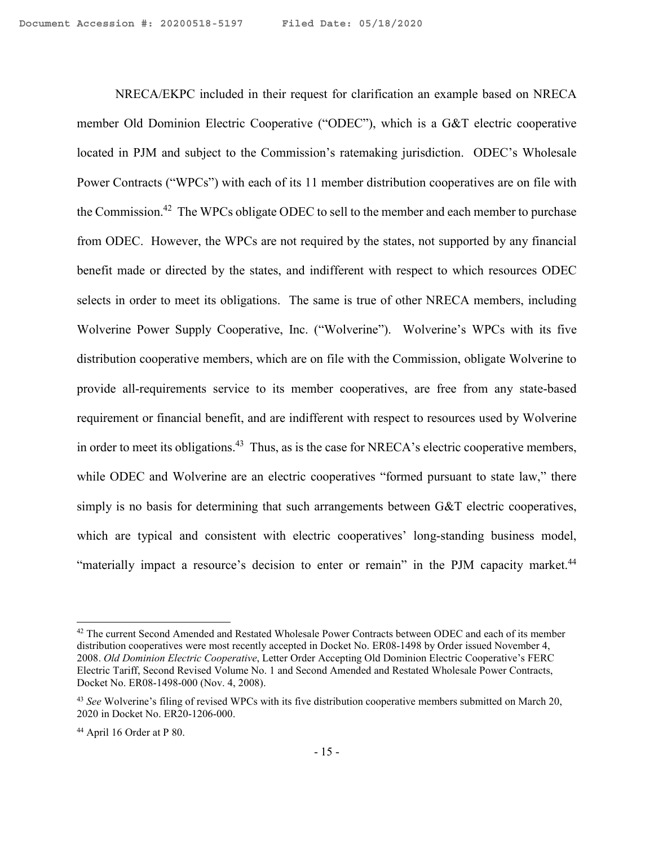NRECA/EKPC included in their request for clarification an example based on NRECA member Old Dominion Electric Cooperative ("ODEC"), which is a G&T electric cooperative located in PJM and subject to the Commission's ratemaking jurisdiction. ODEC's Wholesale Power Contracts ("WPCs") with each of its 11 member distribution cooperatives are on file with the Commission.<sup>42</sup> The WPCs obligate ODEC to sell to the member and each member to purchase from ODEC. However, the WPCs are not required by the states, not supported by any financial benefit made or directed by the states, and indifferent with respect to which resources ODEC selects in order to meet its obligations. The same is true of other NRECA members, including Wolverine Power Supply Cooperative, Inc. ("Wolverine"). Wolverine's WPCs with its five distribution cooperative members, which are on file with the Commission, obligate Wolverine to provide all-requirements service to its member cooperatives, are free from any state-based requirement or financial benefit, and are indifferent with respect to resources used by Wolverine in order to meet its obligations.<sup>43</sup> Thus, as is the case for NRECA's electric cooperative members, while ODEC and Wolverine are an electric cooperatives "formed pursuant to state law," there simply is no basis for determining that such arrangements between G&T electric cooperatives, which are typical and consistent with electric cooperatives' long-standing business model, "materially impact a resource's decision to enter or remain" in the PJM capacity market.<sup>44</sup>

<sup>&</sup>lt;sup>42</sup> The current Second Amended and Restated Wholesale Power Contracts between ODEC and each of its member distribution cooperatives were most recently accepted in Docket No. ER08-1498 by Order issued November 4, 2008. *Old Dominion Electric Cooperative*, Letter Order Accepting Old Dominion Electric Cooperative's FERC Electric Tariff, Second Revised Volume No. 1 and Second Amended and Restated Wholesale Power Contracts, Docket No. ER08-1498-000 (Nov. 4, 2008).

<sup>43</sup> *See* Wolverine's filing of revised WPCs with its five distribution cooperative members submitted on March 20, 2020 in Docket No. ER20-1206-000.

 $44$  April 16 Order at P 80.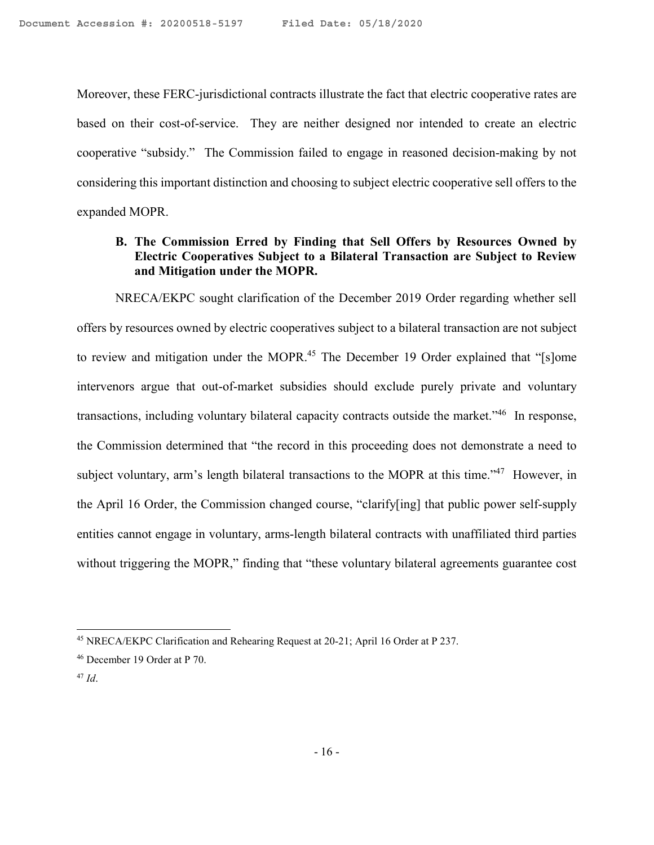Moreover, these FERC-jurisdictional contracts illustrate the fact that electric cooperative rates are based on their cost-of-service. They are neither designed nor intended to create an electric cooperative "subsidy." The Commission failed to engage in reasoned decision-making by not considering this important distinction and choosing to subject electric cooperative sell offers to the expanded MOPR.

# **B. The Commission Erred by Finding that Sell Offers by Resources Owned by Electric Cooperatives Subject to a Bilateral Transaction are Subject to Review and Mitigation under the MOPR.**

NRECA/EKPC sought clarification of the December 2019 Order regarding whether sell offers by resources owned by electric cooperatives subject to a bilateral transaction are not subject to review and mitigation under the MOPR.<sup>45</sup> The December 19 Order explained that "[s]ome intervenors argue that out-of-market subsidies should exclude purely private and voluntary transactions, including voluntary bilateral capacity contracts outside the market."<sup>46</sup> In response, the Commission determined that "the record in this proceeding does not demonstrate a need to subject voluntary, arm's length bilateral transactions to the MOPR at this time."<sup>47</sup> However, in the April 16 Order, the Commission changed course, "clarify[ing] that public power self-supply entities cannot engage in voluntary, arms-length bilateral contracts with unaffiliated third parties without triggering the MOPR," finding that "these voluntary bilateral agreements guarantee cost

<sup>45</sup> NRECA/EKPC Clarification and Rehearing Request at 20-21; April 16 Order at P 237.

<sup>46</sup> December 19 Order at P 70.

<sup>47</sup> *Id*.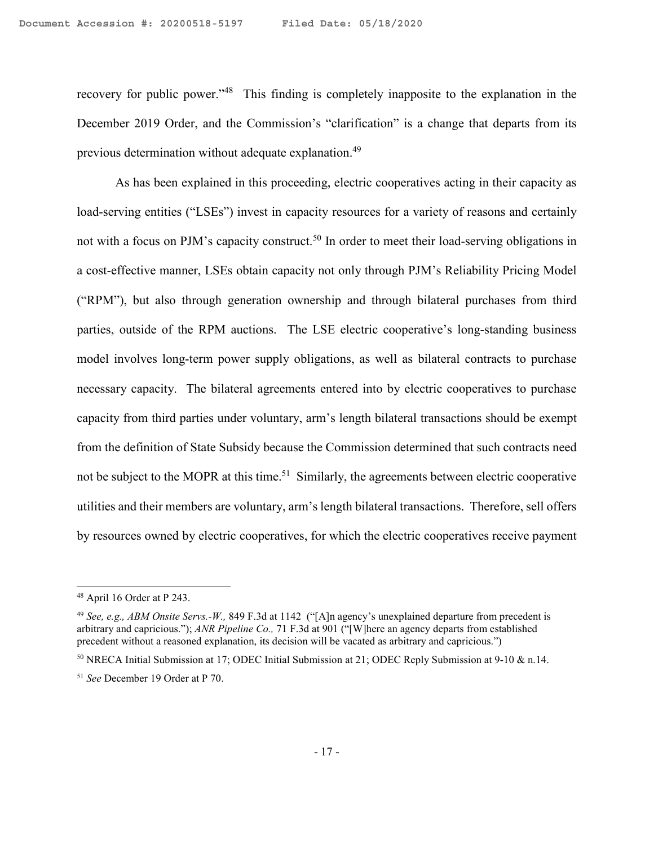recovery for public power."<sup>48</sup> This finding is completely inapposite to the explanation in the December 2019 Order, and the Commission's "clarification" is a change that departs from its previous determination without adequate explanation.<sup>49</sup>

As has been explained in this proceeding, electric cooperatives acting in their capacity as load-serving entities ("LSEs") invest in capacity resources for a variety of reasons and certainly not with a focus on PJM's capacity construct.<sup>50</sup> In order to meet their load-serving obligations in a cost-effective manner, LSEs obtain capacity not only through PJM's Reliability Pricing Model ("RPM"), but also through generation ownership and through bilateral purchases from third parties, outside of the RPM auctions. The LSE electric cooperative's long-standing business model involves long-term power supply obligations, as well as bilateral contracts to purchase necessary capacity. The bilateral agreements entered into by electric cooperatives to purchase capacity from third parties under voluntary, arm's length bilateral transactions should be exempt from the definition of State Subsidy because the Commission determined that such contracts need not be subject to the MOPR at this time.<sup>51</sup> Similarly, the agreements between electric cooperative utilities and their members are voluntary, arm's length bilateral transactions. Therefore, sell offers by resources owned by electric cooperatives, for which the electric cooperatives receive payment

<sup>48</sup> April 16 Order at P 243.

<sup>49</sup> *See, e.g., ABM Onsite Servs.-W.,* 849 F.3d at 1142 ("[A]n agency's unexplained departure from precedent is arbitrary and capricious."); *ANR Pipeline Co.,* 71 F.3d at 901 ("[W]here an agency departs from established precedent without a reasoned explanation, its decision will be vacated as arbitrary and capricious.")

<sup>50</sup> NRECA Initial Submission at 17; ODEC Initial Submission at 21; ODEC Reply Submission at 9-10 & n.14.

<sup>51</sup> *See* December 19 Order at P 70.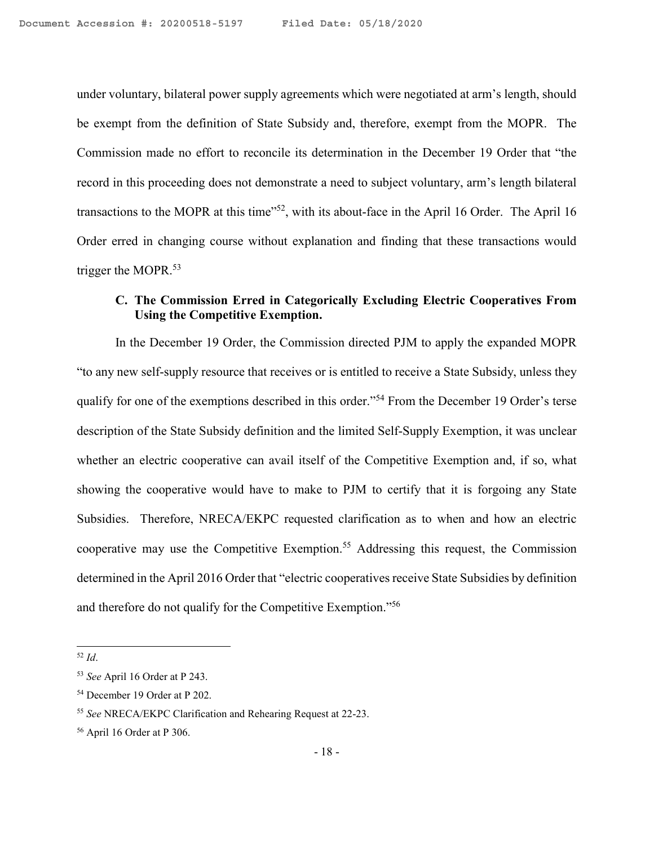under voluntary, bilateral power supply agreements which were negotiated at arm's length, should be exempt from the definition of State Subsidy and, therefore, exempt from the MOPR. The Commission made no effort to reconcile its determination in the December 19 Order that "the record in this proceeding does not demonstrate a need to subject voluntary, arm's length bilateral transactions to the MOPR at this time"<sup>52</sup>, with its about-face in the April 16 Order. The April 16 Order erred in changing course without explanation and finding that these transactions would trigger the MOPR.<sup>53</sup>

# **C. The Commission Erred in Categorically Excluding Electric Cooperatives From Using the Competitive Exemption.**

In the December 19 Order, the Commission directed PJM to apply the expanded MOPR "to any new self-supply resource that receives or is entitled to receive a State Subsidy, unless they qualify for one of the exemptions described in this order."<sup>54</sup> From the December 19 Order's terse description of the State Subsidy definition and the limited Self-Supply Exemption, it was unclear whether an electric cooperative can avail itself of the Competitive Exemption and, if so, what showing the cooperative would have to make to PJM to certify that it is forgoing any State Subsidies. Therefore, NRECA/EKPC requested clarification as to when and how an electric cooperative may use the Competitive Exemption.<sup>55</sup> Addressing this request, the Commission determined in the April 2016 Order that "electric cooperatives receive State Subsidies by definition and therefore do not qualify for the Competitive Exemption."<sup>56</sup>

<sup>52</sup> *Id*.

<sup>53</sup> *See* April 16 Order at P 243.

<sup>54</sup> December 19 Order at P 202.

<sup>55</sup> *See* NRECA/EKPC Clarification and Rehearing Request at 22-23.

<sup>56</sup> April 16 Order at P 306.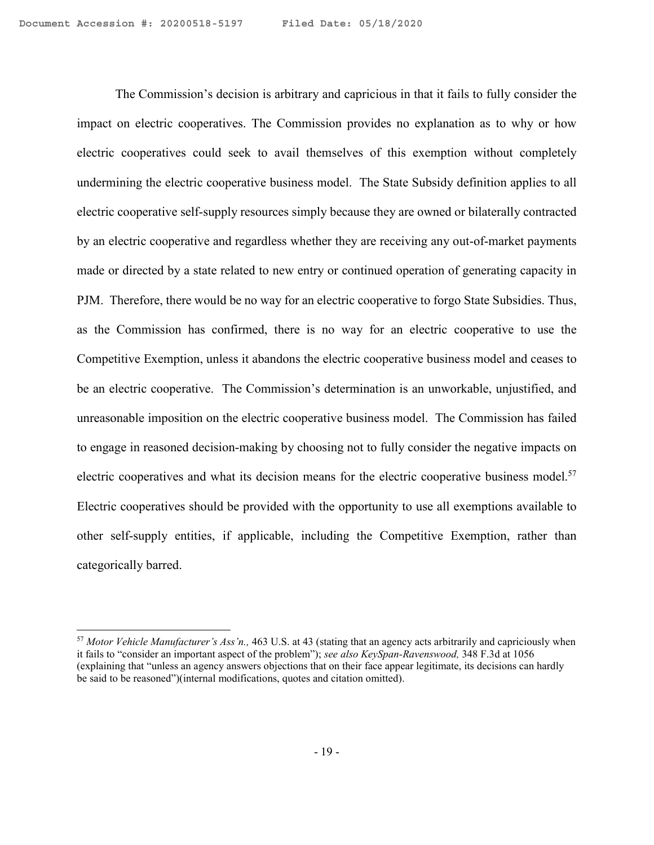The Commission's decision is arbitrary and capricious in that it fails to fully consider the impact on electric cooperatives. The Commission provides no explanation as to why or how electric cooperatives could seek to avail themselves of this exemption without completely undermining the electric cooperative business model. The State Subsidy definition applies to all electric cooperative self-supply resources simply because they are owned or bilaterally contracted by an electric cooperative and regardless whether they are receiving any out-of-market payments made or directed by a state related to new entry or continued operation of generating capacity in PJM. Therefore, there would be no way for an electric cooperative to forgo State Subsidies. Thus, as the Commission has confirmed, there is no way for an electric cooperative to use the Competitive Exemption, unless it abandons the electric cooperative business model and ceases to be an electric cooperative. The Commission's determination is an unworkable, unjustified, and unreasonable imposition on the electric cooperative business model. The Commission has failed to engage in reasoned decision-making by choosing not to fully consider the negative impacts on electric cooperatives and what its decision means for the electric cooperative business model.<sup>57</sup> Electric cooperatives should be provided with the opportunity to use all exemptions available to other self-supply entities, if applicable, including the Competitive Exemption, rather than categorically barred.

<sup>57</sup> *Motor Vehicle Manufacturer's Ass'n.,* 463 U.S. at 43 (stating that an agency acts arbitrarily and capriciously when it fails to "consider an important aspect of the problem"); *see also KeySpan-Ravenswood,* 348 F.3d at 1056 (explaining that "unless an agency answers objections that on their face appear legitimate, its decisions can hardly be said to be reasoned")(internal modifications, quotes and citation omitted).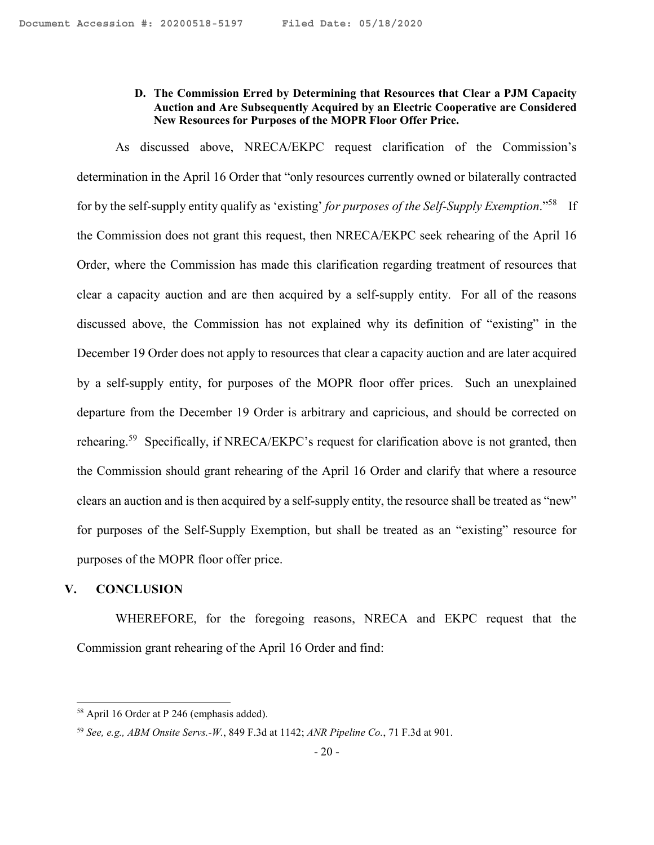### **D. The Commission Erred by Determining that Resources that Clear a PJM Capacity Auction and Are Subsequently Acquired by an Electric Cooperative are Considered New Resources for Purposes of the MOPR Floor Offer Price.**

As discussed above, NRECA/EKPC request clarification of the Commission's determination in the April 16 Order that "only resources currently owned or bilaterally contracted for by the self-supply entity qualify as 'existing' *for purposes of the Self-Supply Exemption*."<sup>58</sup> If the Commission does not grant this request, then NRECA/EKPC seek rehearing of the April 16 Order, where the Commission has made this clarification regarding treatment of resources that clear a capacity auction and are then acquired by a self-supply entity. For all of the reasons discussed above, the Commission has not explained why its definition of "existing" in the December 19 Order does not apply to resources that clear a capacity auction and are later acquired by a self-supply entity, for purposes of the MOPR floor offer prices. Such an unexplained departure from the December 19 Order is arbitrary and capricious, and should be corrected on rehearing.<sup>59</sup> Specifically, if NRECA/EKPC's request for clarification above is not granted, then the Commission should grant rehearing of the April 16 Order and clarify that where a resource clears an auction and is then acquired by a self-supply entity, the resource shall be treated as "new" for purposes of the Self-Supply Exemption, but shall be treated as an "existing" resource for purposes of the MOPR floor offer price.

#### **V. CONCLUSION**

WHEREFORE, for the foregoing reasons, NRECA and EKPC request that the Commission grant rehearing of the April 16 Order and find:

<sup>58</sup> April 16 Order at P 246 (emphasis added).

<sup>59</sup> *See, e.g., ABM Onsite Servs.-W.*, 849 F.3d at 1142; *ANR Pipeline Co.*, 71 F.3d at 901.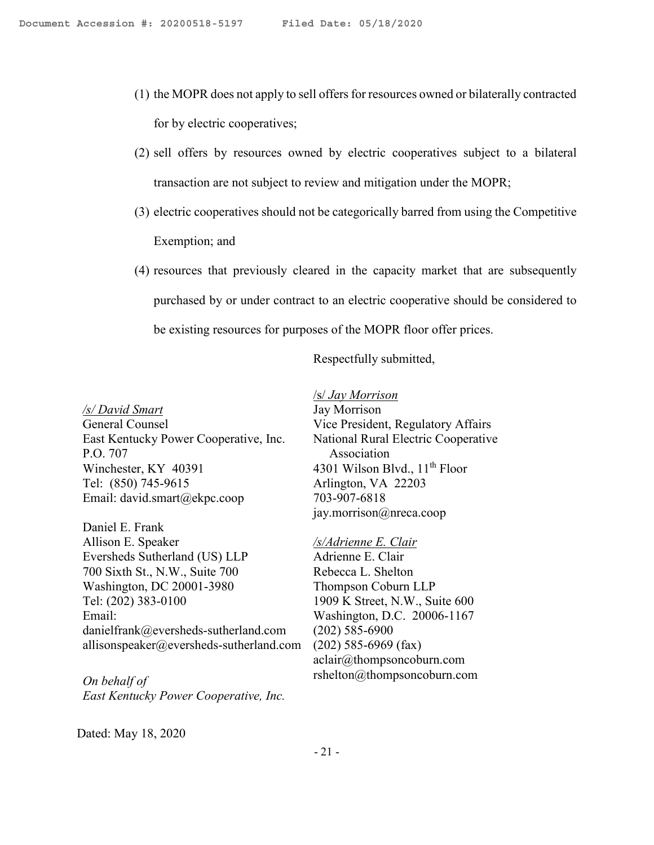- (1) the MOPR does not apply to sell offers for resources owned or bilaterally contracted for by electric cooperatives;
- (2) sell offers by resources owned by electric cooperatives subject to a bilateral transaction are not subject to review and mitigation under the MOPR;
- (3) electric cooperatives should not be categorically barred from using the Competitive Exemption; and
- (4) resources that previously cleared in the capacity market that are subsequently purchased by or under contract to an electric cooperative should be considered to be existing resources for purposes of the MOPR floor offer prices.

/s/ *Jay Morrison* 

Respectfully submitted,

#### */s/ David Smart*

General Counsel East Kentucky Power Cooperative, Inc. P.O. 707 Winchester, KY 40391 Tel: (850) 745-9615 Email: david.smart@ekpc.coop

Daniel E. Frank Allison E. Speaker Eversheds Sutherland (US) LLP 700 Sixth St., N.W., Suite 700 Washington, DC 20001-3980 Tel: (202) 383-0100 Email: danielfrank@eversheds-sutherland.com allisonspeaker@eversheds-sutherland.com

*On behalf of East Kentucky Power Cooperative, Inc.* 

# Jay Morrison Vice President, Regulatory Affairs National Rural Electric Cooperative Association

4301 Wilson Blvd.,  $11<sup>th</sup>$  Floor Arlington, VA 22203 703-907-6818 jay.morrison@nreca.coop

#### */s/Adrienne E. Clair*

Adrienne E. Clair Rebecca L. Shelton Thompson Coburn LLP 1909 K Street, N.W., Suite 600 Washington, D.C. 20006-1167 (202) 585-6900 (202) 585-6969 (fax) aclair@thompsoncoburn.com rshelton@thompsoncoburn.com

Dated: May 18, 2020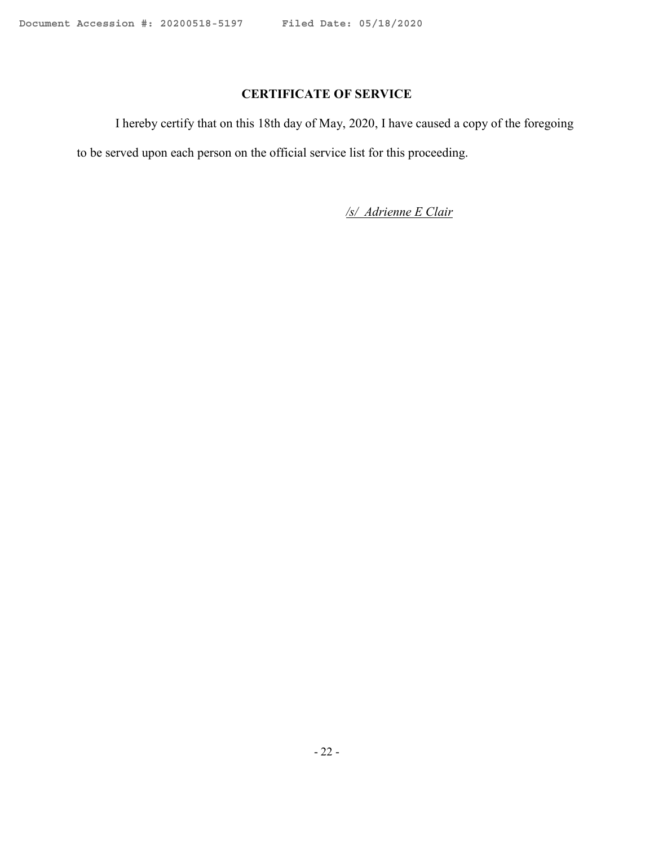# **CERTIFICATE OF SERVICE**

I hereby certify that on this 18th day of May, 2020, I have caused a copy of the foregoing to be served upon each person on the official service list for this proceeding.

*/s/ Adrienne E Clair*